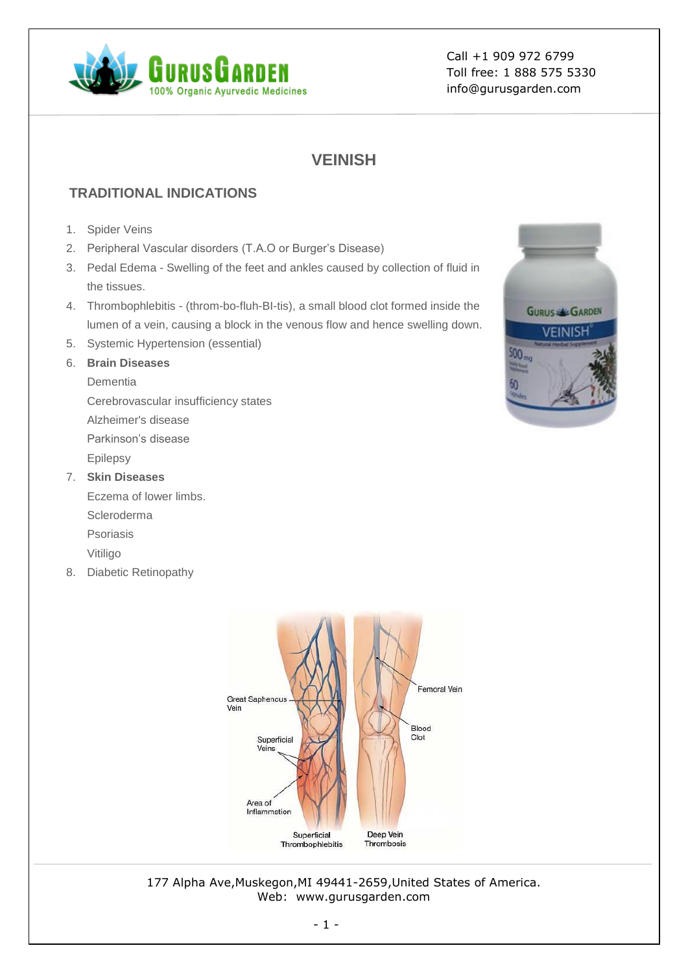

# **VEINISH**

## **TRADITIONAL INDICATIONS**

- 1. Spider Veins
- 2. Peripheral Vascular disorders (T.A.O or Burger's Disease)
- 3. Pedal Edema Swelling of the feet and ankles caused by collection of fluid in the tissues.
- 4. Thrombophlebitis (throm-bo-fluh-BI-tis), a small blood clot formed inside the lumen of a vein, causing a block in the venous flow and hence swelling down.
- 5. Systemic Hypertension (essential)
- 6. **Brain Diseases**
	- Dementia
	- Cerebrovascular insufficiency states
	- Alzheimer's disease
	- Parkinson's disease
	- Epilepsy
- 7. **Skin Diseases**
	- Eczema of lower limbs. Scleroderma Psoriasis
- Vitiligo 8. Diabetic Retinopathy



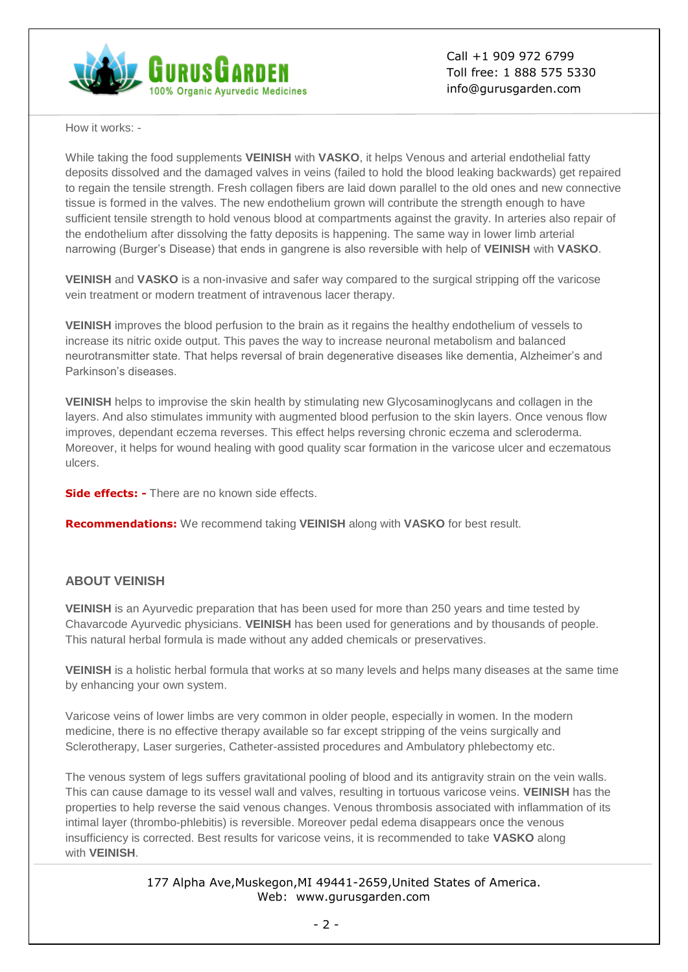

How it works: -

While taking the food supplements **VEINISH** with **VASKO**, it helps Venous and arterial endothelial fatty deposits dissolved and the damaged valves in veins (failed to hold the blood leaking backwards) get repaired to regain the tensile strength. Fresh collagen fibers are laid down parallel to the old ones and new connective tissue is formed in the valves. The new endothelium grown will contribute the strength enough to have sufficient tensile strength to hold venous blood at compartments against the gravity. In arteries also repair of the endothelium after dissolving the fatty deposits is happening. The same way in lower limb arterial narrowing (Burger's Disease) that ends in gangrene is also reversible with help of **VEINISH** with **VASKO**.

**VEINISH** and **VASKO** is a non-invasive and safer way compared to the surgical stripping off the varicose vein treatment or modern treatment of intravenous lacer therapy.

**VEINISH** improves the blood perfusion to the brain as it regains the healthy endothelium of vessels to increase its nitric oxide output. This paves the way to increase neuronal metabolism and balanced neurotransmitter state. That helps reversal of brain degenerative diseases like dementia, Alzheimer's and Parkinson's diseases.

**VEINISH** helps to improvise the skin health by stimulating new Glycosaminoglycans and collagen in the layers. And also stimulates immunity with augmented blood perfusion to the skin layers. Once venous flow improves, dependant eczema reverses. This effect helps reversing chronic eczema and scleroderma. Moreover, it helps for wound healing with good quality scar formation in the varicose ulcer and eczematous ulcers.

**Side effects: -** There are no known side effects.

**Recommendations:** We recommend taking **VEINISH** along with **VASKO** for best result.

## **ABOUT VEINISH**

**VEINISH** is an Ayurvedic preparation that has been used for more than 250 years and time tested by Chavarcode Ayurvedic physicians. **VEINISH** has been used for generations and by thousands of people. This natural herbal formula is made without any added chemicals or preservatives.

**VEINISH** is a holistic herbal formula that works at so many levels and helps many diseases at the same time by enhancing your own system.

Varicose veins of lower limbs are very common in older people, especially in women. In the modern medicine, there is no effective therapy available so far except stripping of the veins surgically and Sclerotherapy, Laser surgeries, Catheter-assisted procedures and Ambulatory phlebectomy etc.

The venous system of legs suffers gravitational pooling of blood and its antigravity strain on the vein walls. This can cause damage to its vessel wall and valves, resulting in tortuous varicose veins. **VEINISH** has the properties to help reverse the said venous changes. Venous thrombosis associated with inflammation of its intimal layer (thrombo-phlebitis) is reversible. Moreover pedal edema disappears once the venous insufficiency is corrected. Best results for varicose veins, it is recommended to take **VASKO** along with **VEINISH**.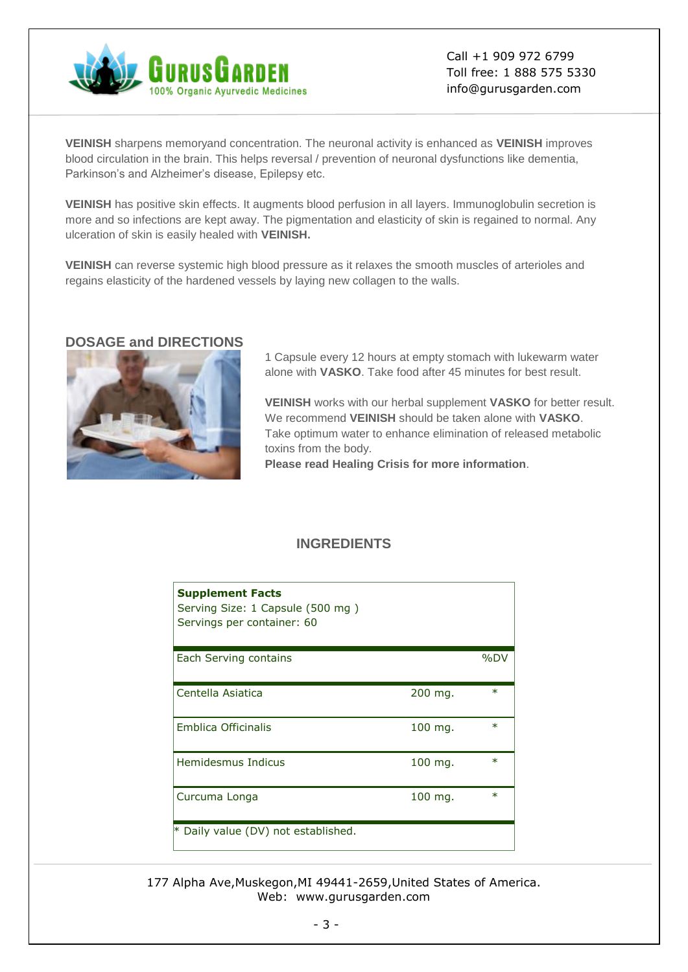

**VEINISH** sharpens memoryand concentration. The neuronal activity is enhanced as **VEINISH** improves blood circulation in the brain. This helps reversal / prevention of neuronal dysfunctions like dementia, Parkinson's and Alzheimer's disease, Epilepsy etc.

**VEINISH** has positive skin effects. It augments blood perfusion in all layers. Immunoglobulin secretion is more and so infections are kept away. The pigmentation and elasticity of skin is regained to normal. Any ulceration of skin is easily healed with **VEINISH.**

**VEINISH** can reverse systemic high blood pressure as it relaxes the smooth muscles of arterioles and regains elasticity of the hardened vessels by laying new collagen to the walls.

#### **DOSAGE and DIRECTIONS**



1 Capsule every 12 hours at empty stomach with lukewarm water alone with **VASKO**. Take food after 45 minutes for best result.

**VEINISH** works with our herbal supplement **VASKO** for better result. We recommend **VEINISH** should be taken alone with **VASKO**. Take optimum water to enhance elimination of released metabolic toxins from the body.

**Please read Healing Crisis for more information**.

## **INGREDIENTS**

| <b>Supplement Facts</b><br>Serving Size: 1 Capsule (500 mg)<br>Servings per container: 60 |           |        |
|-------------------------------------------------------------------------------------------|-----------|--------|
| Each Serving contains                                                                     |           | %DV    |
| Centella Asiatica                                                                         | $200$ mg. | $\ast$ |
| Emblica Officinalis                                                                       | 100 mg.   | $\ast$ |
| Hemidesmus Indicus                                                                        | $100$ mg. | $\ast$ |
| Curcuma Longa                                                                             | $100$ mg. | $\ast$ |
| * Daily value (DV) not established.                                                       |           |        |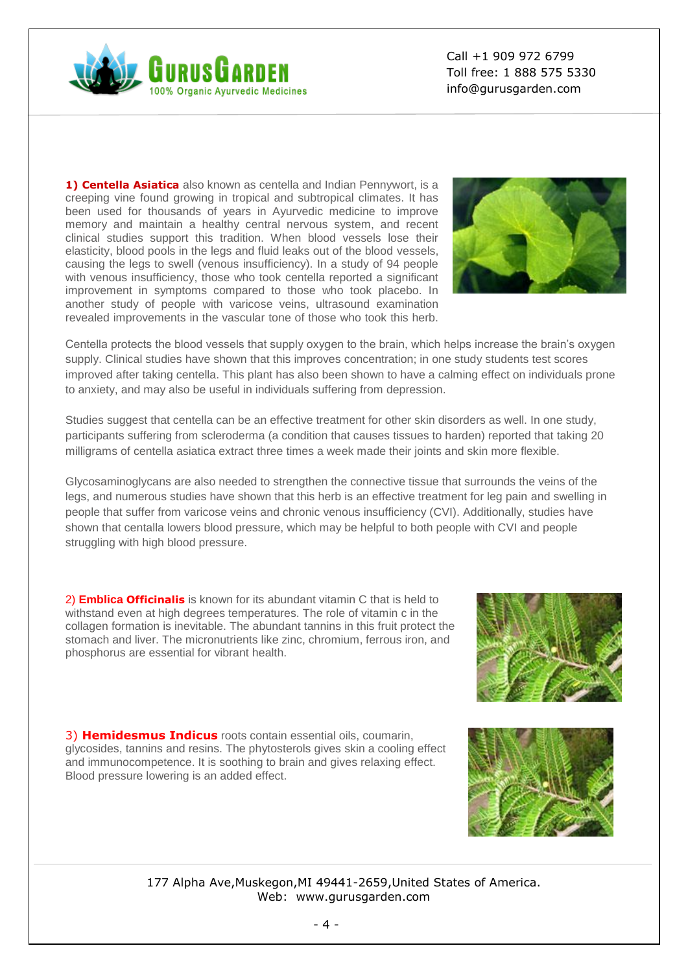

**1) Centella Asiatica** also known as centella and Indian Pennywort, is a creeping vine found growing in tropical and subtropical climates. It has been used for thousands of years in Ayurvedic medicine to improve memory and maintain a healthy central nervous system, and recent clinical studies support this tradition. When blood vessels lose their elasticity, blood pools in the legs and fluid leaks out of the blood vessels, causing the legs to swell (venous insufficiency). In a study of 94 people with venous insufficiency, those who took centella reported a significant improvement in symptoms compared to those who took placebo. In another study of people with varicose veins, ultrasound examination revealed improvements in the vascular tone of those who took this herb.



Centella protects the blood vessels that supply oxygen to the brain, which helps increase the brain's oxygen supply. Clinical studies have shown that this improves concentration; in one study students test scores improved after taking centella. This plant has also been shown to have a calming effect on individuals prone to anxiety, and may also be useful in individuals suffering from depression.

Studies suggest that centella can be an effective treatment for other skin disorders as well. In one study, participants suffering from scleroderma (a condition that causes tissues to harden) reported that taking 20 milligrams of centella asiatica extract three times a week made their joints and skin more flexible.

Glycosaminoglycans are also needed to strengthen the connective tissue that surrounds the veins of the legs, and numerous studies have shown that this herb is an effective treatment for leg pain and swelling in people that suffer from varicose veins and chronic venous insufficiency (CVI). Additionally, studies have shown that centalla lowers blood pressure, which may be helpful to both people with CVI and people struggling with high blood pressure.

2) **Emblica Officinalis** is known for its abundant vitamin C that is held to withstand even at high degrees temperatures. The role of vitamin c in the collagen formation is inevitable. The abundant tannins in this fruit protect the stomach and liver. The micronutrients like zinc, chromium, ferrous iron, and phosphorus are essential for vibrant health.



3) **Hemidesmus Indicus** roots contain essential oils, coumarin, glycosides, tannins and resins. The phytosterols gives skin a cooling effect and immunocompetence. It is soothing to brain and gives relaxing effect. Blood pressure lowering is an added effect.

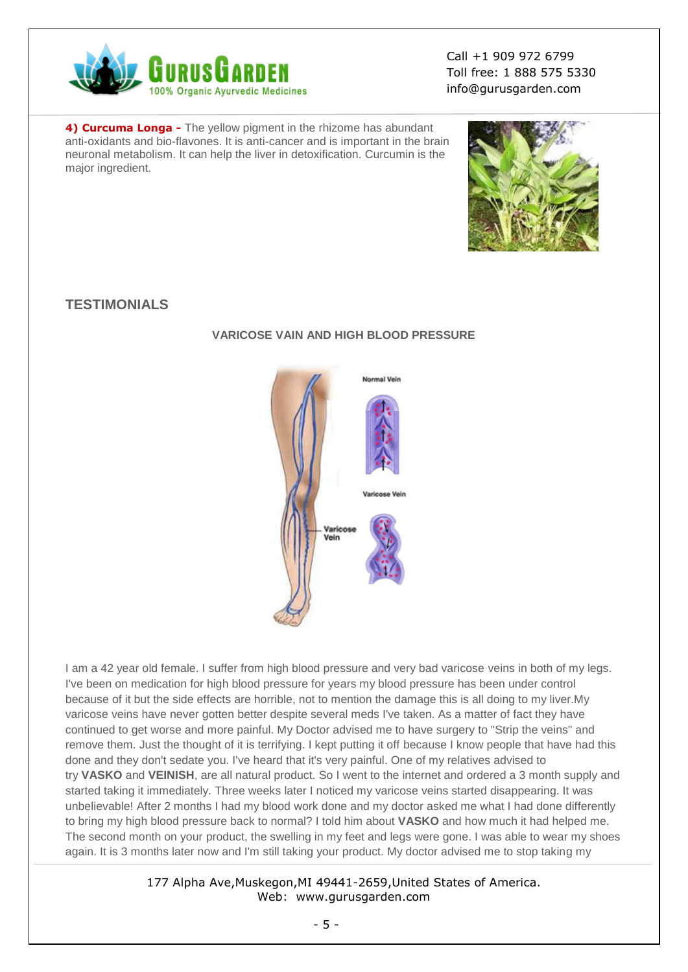

**4) Curcuma Longa -** The yellow pigment in the rhizome has abundant anti-oxidants and bio-flavones. It is anti-cancer and is important in the brain neuronal metabolism. It can help the liver in detoxification. Curcumin is the major ingredient.



## **TESTIMONIALS**



## **VARICOSE VAIN AND HIGH BLOOD PRESSURE**

I am a 42 year old female. I suffer from high blood pressure and very bad varicose veins in both of my legs. I've been on medication for high blood pressure for years my blood pressure has been under control because of it but the side effects are horrible, not to mention the damage this is all doing to my liver.My varicose veins have never gotten better despite several meds I've taken. As a matter of fact they have continued to get worse and more painful. My Doctor advised me to have surgery to "Strip the veins" and remove them. Just the thought of it is terrifying. I kept putting it off because I know people that have had this done and they don't sedate you. I've heard that it's very painful. One of my relatives advised to try **VASKO** and **VEINISH**, are all natural product. So I went to the internet and ordered a 3 month supply and started taking it immediately. Three weeks later I noticed my varicose veins started disappearing. It was unbelievable! After 2 months I had my blood work done and my doctor asked me what I had done differently to bring my high blood pressure back to normal? I told him about **VASKO** and how much it had helped me. The second month on your product, the swelling in my feet and legs were gone. I was able to wear my shoes again. It is 3 months later now and I'm still taking your product. My doctor advised me to stop taking my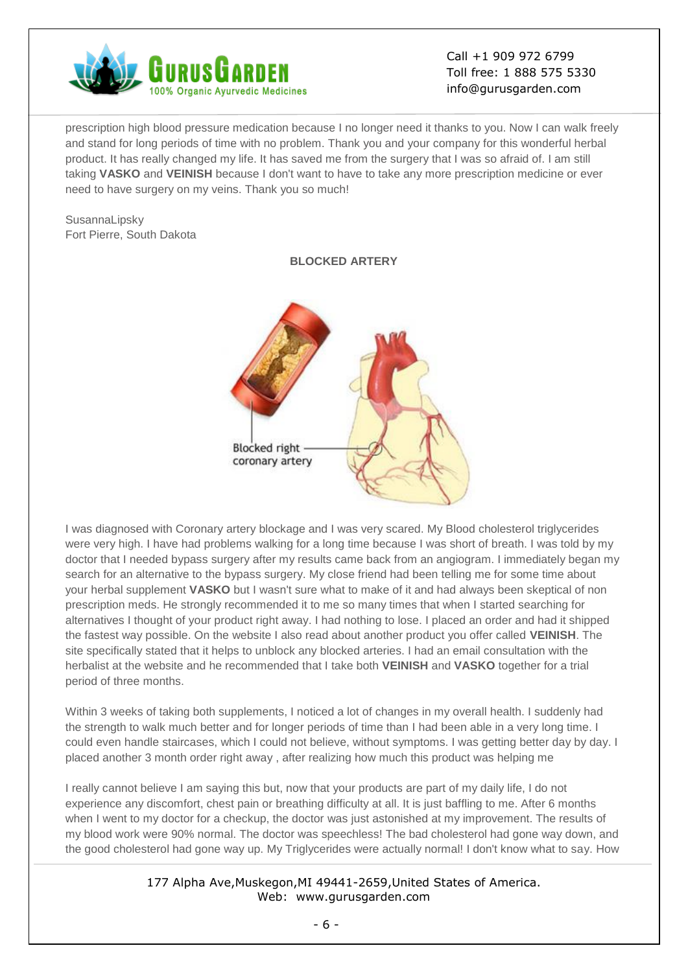

prescription high blood pressure medication because I no longer need it thanks to you. Now I can walk freely and stand for long periods of time with no problem. Thank you and your company for this wonderful herbal product. It has really changed my life. It has saved me from the surgery that I was so afraid of. I am still taking **VASKO** and **VEINISH** because I don't want to have to take any more prescription medicine or ever need to have surgery on my veins. Thank you so much!

SusannaLipsky Fort Pierre, South Dakota



**BLOCKED ARTERY**

I was diagnosed with Coronary artery blockage and I was very scared. My Blood cholesterol triglycerides were very high. I have had problems walking for a long time because I was short of breath. I was told by my doctor that I needed bypass surgery after my results came back from an angiogram. I immediately began my search for an alternative to the bypass surgery. My close friend had been telling me for some time about your herbal supplement **VASKO** but I wasn't sure what to make of it and had always been skeptical of non prescription meds. He strongly recommended it to me so many times that when I started searching for alternatives I thought of your product right away. I had nothing to lose. I placed an order and had it shipped the fastest way possible. On the website I also read about another product you offer called **VEINISH**. The site specifically stated that it helps to unblock any blocked arteries. I had an email consultation with the herbalist at the website and he recommended that I take both **VEINISH** and **VASKO** together for a trial period of three months.

Within 3 weeks of taking both supplements, I noticed a lot of changes in my overall health. I suddenly had the strength to walk much better and for longer periods of time than I had been able in a very long time. I could even handle staircases, which I could not believe, without symptoms. I was getting better day by day. I placed another 3 month order right away , after realizing how much this product was helping me

I really cannot believe I am saying this but, now that your products are part of my daily life, I do not experience any discomfort, chest pain or breathing difficulty at all. It is just baffling to me. After 6 months when I went to my doctor for a checkup, the doctor was just astonished at my improvement. The results of my blood work were 90% normal. The doctor was speechless! The bad cholesterol had gone way down, and the good cholesterol had gone way up. My Triglycerides were actually normal! I don't know what to say. How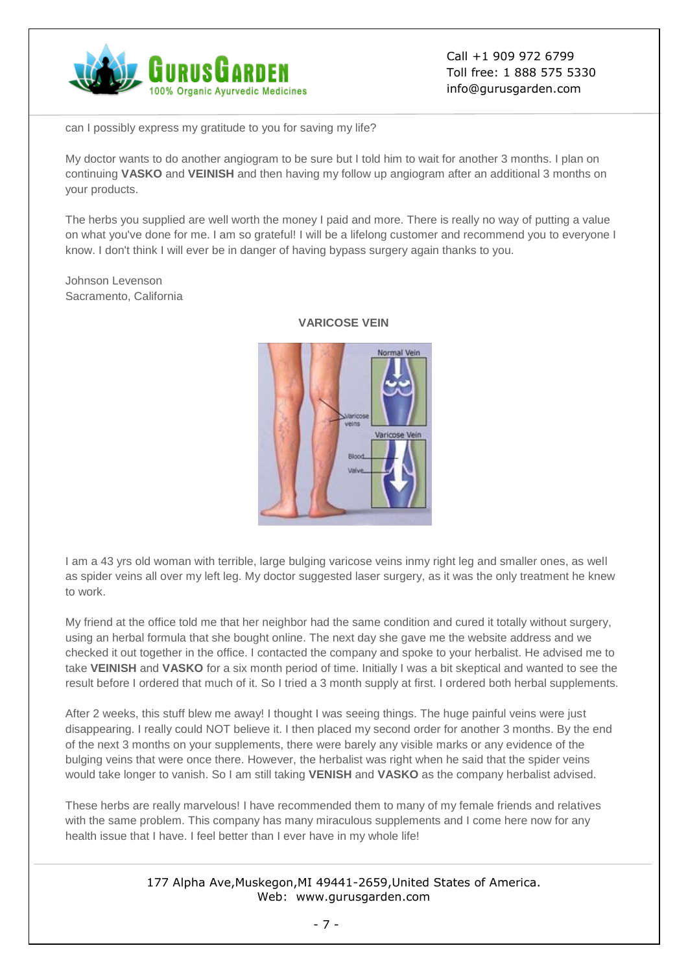![](_page_6_Picture_0.jpeg)

can I possibly express my gratitude to you for saving my life?

My doctor wants to do another angiogram to be sure but I told him to wait for another 3 months. I plan on continuing **VASKO** and **VEINISH** and then having my follow up angiogram after an additional 3 months on your products.

The herbs you supplied are well worth the money I paid and more. There is really no way of putting a value on what you've done for me. I am so grateful! I will be a lifelong customer and recommend you to everyone I know. I don't think I will ever be in danger of having bypass surgery again thanks to you.

Johnson Levenson Sacramento, California

![](_page_6_Picture_6.jpeg)

**VARICOSE VEIN**

I am a 43 yrs old woman with terrible, large bulging varicose veins inmy right leg and smaller ones, as well as spider veins all over my left leg. My doctor suggested laser surgery, as it was the only treatment he knew to work.

My friend at the office told me that her neighbor had the same condition and cured it totally without surgery, using an herbal formula that she bought online. The next day she gave me the website address and we checked it out together in the office. I contacted the company and spoke to your herbalist. He advised me to take **VEINISH** and **VASKO** for a six month period of time. Initially I was a bit skeptical and wanted to see the result before I ordered that much of it. So I tried a 3 month supply at first. I ordered both herbal supplements.

After 2 weeks, this stuff blew me away! I thought I was seeing things. The huge painful veins were just disappearing. I really could NOT believe it. I then placed my second order for another 3 months. By the end of the next 3 months on your supplements, there were barely any visible marks or any evidence of the bulging veins that were once there. However, the herbalist was right when he said that the spider veins would take longer to vanish. So I am still taking **VENISH** and **VASKO** as the company herbalist advised.

These herbs are really marvelous! I have recommended them to many of my female friends and relatives with the same problem. This company has many miraculous supplements and I come here now for any health issue that I have. I feel better than I ever have in my whole life!